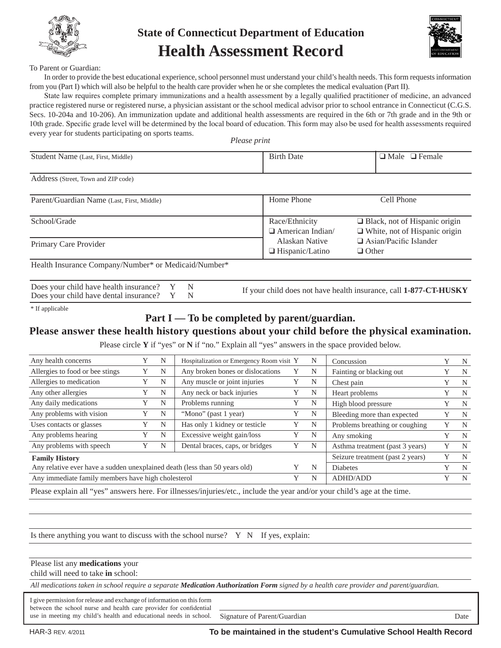

# **State of Connecticut Department of Education Health Assessment Record**



#### To Parent or Guardian:

In order to provide the best educational experience, school personnel must understand your child's health needs. This form requests information from you (Part I) which will also be helpful to the health care provider when he or she completes the medical evaluation (Part II).

State law requires complete primary immunizations and a health assessment by a legally qualified practitioner of medicine, an advanced practice registered nurse or registered nurse, a physician assistant or the school medical advisor prior to school entrance in Connecticut (C.G.S. Secs. 10-204a and 10-206). An immunization update and additional health assessments are required in the 6th or 7th grade and in the 9th or 10th grade. Specific grade level will be determined by the local board of education. This form may also be used for health assessments required every year for students participating on sports teams.

*Please print*

| Student Name (Last, First, Middle)                   | <b>Birth Date</b>                         | $\Box$ Male $\Box$ Female                                                    |
|------------------------------------------------------|-------------------------------------------|------------------------------------------------------------------------------|
| Address (Street, Town and ZIP code)                  |                                           |                                                                              |
| Parent/Guardian Name (Last, First, Middle)           | Home Phone                                | Cell Phone                                                                   |
| School/Grade                                         | Race/Ethnicity<br>$\Box$ American Indian/ | $\Box$ Black, not of Hispanic origin<br>$\Box$ White, not of Hispanic origin |
| Primary Care Provider                                | Alaskan Native<br>$\Box$ Hispanic/Latino  | $\Box$ Asian/Pacific Islander<br>$\Box$ Other                                |
| Health Insurance Company/Number* or Medicaid/Number* |                                           |                                                                              |

| Does your child have health insurance? Y | N |
|------------------------------------------|---|
| Does your child have dental insurance? Y | N |

If your child does not have health insurance, call **1-877-CT-HUSKY**

\* If applicable

### **Part I — To be completed by parent/guardian.**

### **Please answer these health history questions about your child before the physical examination.**

Please circle **Y** if "yes" or **N** if "no." Explain all "yes" answers in the space provided below.

| Any health concerns                                                        |  | N | Hospitalization or Emergency Room visit Y |   | N               | Concussion                       |   | N |
|----------------------------------------------------------------------------|--|---|-------------------------------------------|---|-----------------|----------------------------------|---|---|
| Allergies to food or bee stings                                            |  | N | Any broken bones or dislocations          |   | N               | Fainting or blacking out         |   | N |
| Allergies to medication                                                    |  | N | Any muscle or joint injuries              |   | N               | Chest pain                       |   | N |
| Any other allergies                                                        |  | N | Any neck or back injuries                 |   | N               | Heart problems                   |   | N |
| Any daily medications                                                      |  | N | Problems running                          |   | N               | High blood pressure              |   | N |
| Any problems with vision                                                   |  | N | "Mono" (past 1 year)                      |   | N               | Bleeding more than expected      |   | N |
| Uses contacts or glasses                                                   |  | N | Has only 1 kidney or testicle             |   | N               | Problems breathing or coughing   |   | N |
| Any problems hearing                                                       |  | N | Excessive weight gain/loss                |   | N               | Any smoking                      |   | N |
| Any problems with speech                                                   |  | N | Dental braces, caps, or bridges           |   | N               | Asthma treatment (past 3 years)  | Y | N |
| <b>Family History</b>                                                      |  |   |                                           |   |                 | Seizure treatment (past 2 years) | Y | N |
| Any relative ever have a sudden unexplained death (less than 50 years old) |  |   |                                           | N | Diabetes        |                                  | N |   |
| Any immediate family members have high cholesterol                         |  |   |                                           | N | <b>ADHD/ADD</b> |                                  | N |   |
|                                                                            |  |   |                                           |   |                 |                                  |   |   |

Please explain all "yes" answers here. For illnesses/injuries/etc., include the year and/or your child's age at the time.

Is there anything you want to discuss with the school nurse?  $Y \ N$  If yes, explain:

#### Please list any **medications** your

child will need to take **in** school:

*All medications taken in school require a separate Medication Authorization Form signed by a health care provider and parent/guardian.*

I give permission for release and exchange of information on this form between the school nurse and health care provider for confidential use in meeting my child's health and educational needs in school. Signature of Parent/Guardian Date

Ι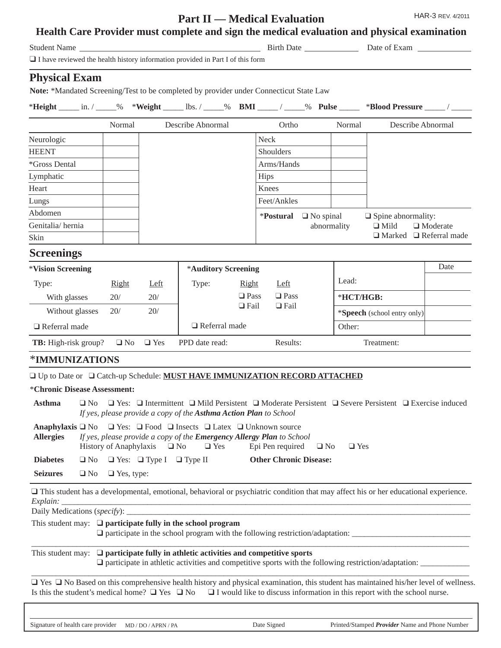# **Part II — Medical Evaluation**

HAR-3 REV. 4/2011

| Health Care Provider must complete and sign the medical evaluation and physical examination |  |  |
|---------------------------------------------------------------------------------------------|--|--|
|---------------------------------------------------------------------------------------------|--|--|

| $\Box$ I have reviewed the health history information provided in Part I of this form                                                                                                              |                   |                                                    |                                                                                                                                                                         |                                                    |                                    |        |                                     |                                                                                                        |                 |  |
|----------------------------------------------------------------------------------------------------------------------------------------------------------------------------------------------------|-------------------|----------------------------------------------------|-------------------------------------------------------------------------------------------------------------------------------------------------------------------------|----------------------------------------------------|------------------------------------|--------|-------------------------------------|--------------------------------------------------------------------------------------------------------|-----------------|--|
|                                                                                                                                                                                                    |                   |                                                    |                                                                                                                                                                         |                                                    |                                    |        |                                     |                                                                                                        |                 |  |
| <b>Physical Exam</b>                                                                                                                                                                               |                   |                                                    |                                                                                                                                                                         |                                                    |                                    |        |                                     |                                                                                                        |                 |  |
| Note: *Mandated Screening/Test to be completed by provider under Connecticut State Law                                                                                                             |                   |                                                    |                                                                                                                                                                         |                                                    |                                    |        |                                     |                                                                                                        |                 |  |
| *Height ______ in. / _____% *Weight ______ lbs. / _____% BMI _____ / _____% Pulse ______ *Blood Pressure _____ / _____                                                                             |                   |                                                    |                                                                                                                                                                         |                                                    |                                    |        |                                     |                                                                                                        |                 |  |
|                                                                                                                                                                                                    | Normal            |                                                    | Describe Abnormal                                                                                                                                                       |                                                    | Ortho                              |        | Normal                              | Describe Abnormal                                                                                      |                 |  |
| Neurologic                                                                                                                                                                                         |                   |                                                    |                                                                                                                                                                         |                                                    | <b>Neck</b>                        |        |                                     |                                                                                                        |                 |  |
| <b>HEENT</b>                                                                                                                                                                                       |                   |                                                    |                                                                                                                                                                         |                                                    | Shoulders                          |        |                                     |                                                                                                        |                 |  |
| *Gross Dental                                                                                                                                                                                      |                   |                                                    |                                                                                                                                                                         |                                                    | Arms/Hands                         |        |                                     |                                                                                                        |                 |  |
| Lymphatic                                                                                                                                                                                          |                   |                                                    |                                                                                                                                                                         |                                                    | <b>Hips</b>                        |        |                                     |                                                                                                        |                 |  |
| Heart                                                                                                                                                                                              |                   |                                                    |                                                                                                                                                                         |                                                    | Knees                              |        |                                     |                                                                                                        |                 |  |
| Lungs                                                                                                                                                                                              |                   |                                                    |                                                                                                                                                                         |                                                    | Feet/Ankles                        |        |                                     |                                                                                                        |                 |  |
| Abdomen                                                                                                                                                                                            |                   |                                                    |                                                                                                                                                                         |                                                    | * <b>Postural</b> $\Box$ No spinal |        |                                     | $\Box$ Spine abnormality:                                                                              |                 |  |
| Genitalia/hernia                                                                                                                                                                                   |                   |                                                    |                                                                                                                                                                         |                                                    |                                    |        | abnormality                         | $\Box$ Mild                                                                                            | $\Box$ Moderate |  |
| Skin                                                                                                                                                                                               |                   |                                                    |                                                                                                                                                                         |                                                    |                                    |        |                                     | $\Box$ Marked $\Box$ Referral made                                                                     |                 |  |
| <b>Screenings</b>                                                                                                                                                                                  |                   |                                                    |                                                                                                                                                                         |                                                    |                                    |        |                                     |                                                                                                        |                 |  |
| *Vision Screening                                                                                                                                                                                  |                   |                                                    | *Auditory Screening                                                                                                                                                     |                                                    |                                    |        |                                     |                                                                                                        | Date            |  |
| Type:                                                                                                                                                                                              | Right             | Left                                               | Type:                                                                                                                                                                   | Right                                              | Left                               |        | Lead:                               |                                                                                                        |                 |  |
| With glasses                                                                                                                                                                                       | 20/               | 20/                                                |                                                                                                                                                                         | $\Box$ Pass                                        | $\Box$ Pass                        |        |                                     | *HCT/HGB:                                                                                              |                 |  |
| Without glasses                                                                                                                                                                                    | 20/               | 20/                                                |                                                                                                                                                                         | $\Box$ Fail<br>$\Box$ Fail<br>$\Box$ Referral made |                                    |        | * <b>Speech</b> (school entry only) |                                                                                                        |                 |  |
| $\Box$ Referral made                                                                                                                                                                               |                   |                                                    |                                                                                                                                                                         |                                                    |                                    | Other: |                                     |                                                                                                        |                 |  |
| <b>TB:</b> High-risk group?                                                                                                                                                                        | $\Box$ No         | $\Box$ Yes                                         | PPD date read:                                                                                                                                                          |                                                    | Results:                           |        |                                     | Treatment:                                                                                             |                 |  |
|                                                                                                                                                                                                    |                   |                                                    |                                                                                                                                                                         |                                                    |                                    |        |                                     |                                                                                                        |                 |  |
| <b>*IMMUNIZATIONS</b>                                                                                                                                                                              |                   |                                                    |                                                                                                                                                                         |                                                    |                                    |        |                                     |                                                                                                        |                 |  |
| □ Up to Date or □ Catch-up Schedule: MUST HAVE IMMUNIZATION RECORD ATTACHED                                                                                                                        |                   |                                                    |                                                                                                                                                                         |                                                    |                                    |        |                                     |                                                                                                        |                 |  |
| *Chronic Disease Assessment:                                                                                                                                                                       |                   |                                                    |                                                                                                                                                                         |                                                    |                                    |        |                                     |                                                                                                        |                 |  |
| Asthma $\Box$ No $\Box$ Yes: $\Box$ Intermittent $\Box$ Mild Persistent $\Box$ Moderate Persistent $\Box$ Severe Persistent $\Box$ Exercise induced                                                |                   |                                                    | If yes, please provide a copy of the Asthma Action Plan to School                                                                                                       |                                                    |                                    |        |                                     |                                                                                                        |                 |  |
| Anaphylaxis $\square$ No<br><b>Allergies</b>                                                                                                                                                       |                   | History of Anaphylaxis $\Box$ No                   | $\Box$ Yes: $\Box$ Food $\Box$ Insects $\Box$ Latex $\Box$ Unknown source<br>If yes, please provide a copy of the <b>Emergency Allergy Plan</b> to School<br>$\Box$ Yes |                                                    | Epi Pen required                   |        | $\Box$ Yes<br>$\Box$ No             |                                                                                                        |                 |  |
| <b>Diabetes</b>                                                                                                                                                                                    |                   | $\Box$ No $\Box$ Yes: $\Box$ Type I $\Box$ Type II |                                                                                                                                                                         |                                                    | <b>Other Chronic Disease:</b>      |        |                                     |                                                                                                        |                 |  |
| <b>Seizures</b><br>$\Box$ No                                                                                                                                                                       | $\Box$ Yes, type: |                                                    |                                                                                                                                                                         |                                                    |                                    |        |                                     |                                                                                                        |                 |  |
| $\Box$ This student has a developmental, emotional, behavioral or psychiatric condition that may affect his or her educational experience.                                                         |                   |                                                    |                                                                                                                                                                         |                                                    |                                    |        |                                     |                                                                                                        |                 |  |
|                                                                                                                                                                                                    |                   |                                                    |                                                                                                                                                                         |                                                    |                                    |        |                                     |                                                                                                        |                 |  |
| This student may: $\Box$ participate fully in the school program                                                                                                                                   |                   |                                                    |                                                                                                                                                                         |                                                    |                                    |        |                                     |                                                                                                        |                 |  |
| This student may: $\Box$ participate fully in athletic activities and competitive sports                                                                                                           |                   |                                                    |                                                                                                                                                                         |                                                    |                                    |        |                                     | Q participate in athletic activities and competitive sports with the following restriction/adaptation: |                 |  |
| □ Yes □ No Based on this comprehensive health history and physical examination, this student has maintained his/her level of wellness.<br>Is this the student's medical home? $\Box$ Yes $\Box$ No |                   |                                                    |                                                                                                                                                                         |                                                    |                                    |        |                                     | $\Box$ I would like to discuss information in this report with the school nurse.                       |                 |  |